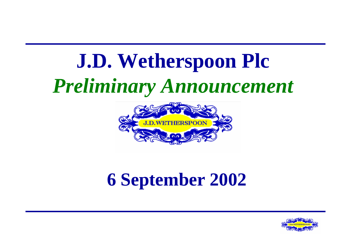# **J.D. Wetherspoon Plc**  *Preliminary Announcement*



## **6 September 2002**

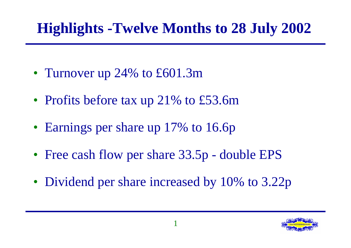## **Highlights -Twelve Months to 28 July 2002**

- Turnover up 24% to £601.3m
- Profits before tax up 21% to £53.6m
- Earnings per share up 17% to 16.6p
- Free cash flow per share 33.5p double EPS
- Dividend per share increased by 10% to 3.22p

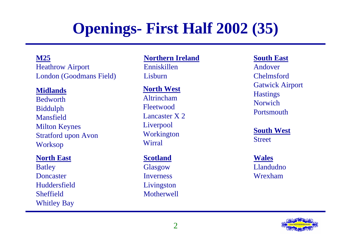## **Openings- First Half 2002 (35)**

### **M25**

Heathrow Airport London (Goodmans Field)

### **Midlands**

BedworthBiddulph MansfieldMilton Keynes Stratford upon Avon Worksop

### **North East**

Batley Doncaster**Huddersfield** SheffieldWhitley Bay

### **Northern Ireland**

Enniskillen **Lishurn** 

### **North West**

Altrincham FleetwoodLancaster X 2 Liverpool Workington Wirral

### **Scotland**

Glasgow Inverness Livingston Motherwell

### **South East**

Andover Chelmsford Gatwick Airport **Hastings** Norwich **Portsmouth** 

**South West** Street

**Wales** Llandudno Wrexham

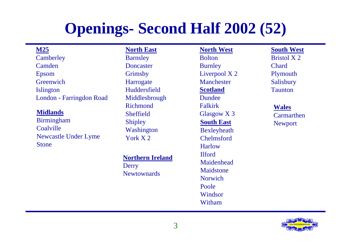## **Openings- Second Half 2002 (52)**

### **M25**

**Camberley** CamdenEpsom **Greenwich** Islington London - Farringdon Road

### **Midlands**

Birmingham **Coalville** Newcastle Under Lyme Stone

**North EastBarnsley** DoncasterGrimsby **Harrogate Huddersfield** Middlesbrough Richmond**Sheffield** Shipley Washington York X 2

#### **Northern Ireland**

Derry **Newtownards**  **Scotland**DundeeFalkirkGlasgow X 3 **South East**Bexleyheath ChelmsfordHarlowIlfordMaidenhead**Maidstone** NorwichPooleWindsorWitham**North West** Bolton**Burnley** Liverpool X 2 Manchester

**South West**Bristol X 2ChardPlymouth Salisbury Taunton

**Wales Carmarthen** Newport

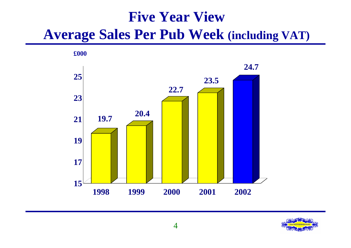### **Five Year View Average Sales Per Pub Week (including VAT)**



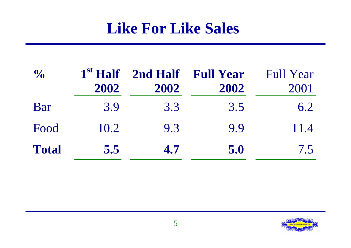### **Like For Like Sales**

| $\frac{1}{2}$ | 1 <sup>st</sup> Half<br>2002 | 2002 | 2nd Half Full Year<br>2002 | <b>Full Year</b><br>2001 |
|---------------|------------------------------|------|----------------------------|--------------------------|
| Bar           | 3.9                          | 3.3  | 3.5                        | 6.2                      |
| Food          | 10.2                         | 9.3  | 9.9                        | 11.4                     |
| <b>Total</b>  | 5.5                          | 4.7  | 5.0                        | 7.5                      |

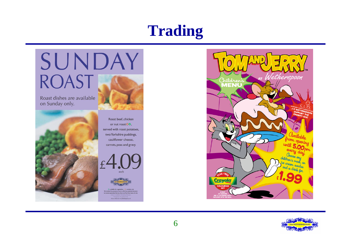## **Trading**





Roast beef, chicken or nut roast<sup>00</sup>, served with roast potatoes, two Yorkshire puddings, cauliflower cheese, carrots, peas and gravy.





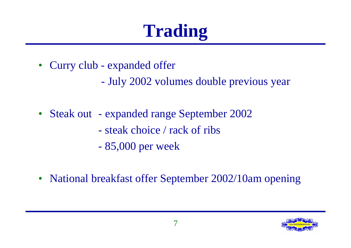# **Trading**

- Curry club expanded offer
	- July 2002 volumes double previous year
- Steak out expanded range September 2002
	- steak choice / rack of ribs
	- 85,000 per week
- National breakfast offer September 2002/10am opening

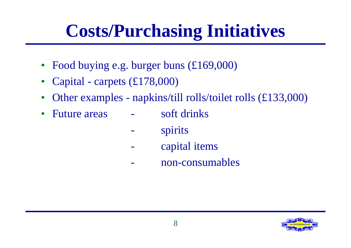# **Costs/Purchasing Initiatives**

- Food buying e.g. burger buns (£169,000)
- Capital carpets (£178,000)
- Other examples napkins/till rolls/toilet rolls (£133,000)
- Future areas soft drinks
	- spirits
	- capital items
	- non-consumables

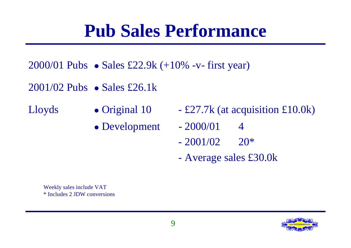## **Pub Sales Performance**

- 2000/01 Pubs z Sales £22.9k (+10% -v- first year)
- $2001/02$  Pubs Sales £26.1k
- Lloyds
- Original 10
- Development  $-2000/01$  4
- $-$  £27.7k (at acquisition £10.0k)
- - $-2001/02$  20<sup>\*</sup>
	- Average sales £30.0k

Weekly sales include VAT \* Includes 2 JDW conversions

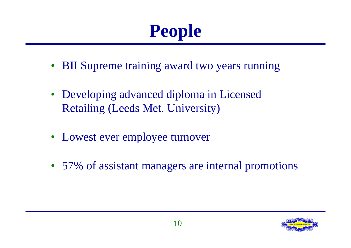# **People**

- BII Supreme training award two years running
- Developing advanced diploma in Licensed Retailing (Leeds Met. University)
- Lowest ever employee turnover
- 57% of assistant managers are internal promotions

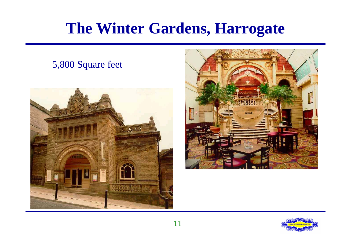## **The Winter Gardens, Harrogate**

# $2.88$

5,800 Square feet



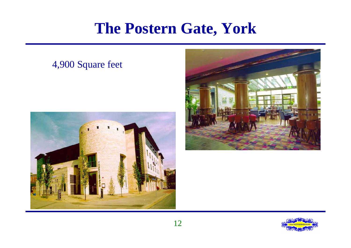### **The Postern Gate, York**

### 4,900 Square feet





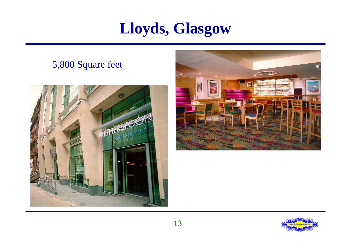### **Lloyds, Glasgow**

### 5,800 Square feet





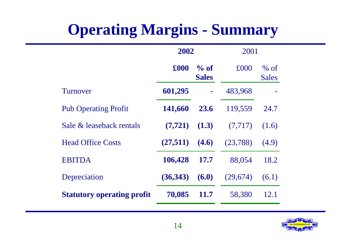## **Operating Margins - Summary**

|                                   | 2002                            |                | 2001     |                        |
|-----------------------------------|---------------------------------|----------------|----------|------------------------|
|                                   | £000<br>$\%$ of<br><b>Sales</b> |                | £000     | $%$ of<br><b>Sales</b> |
| Turnover                          | 601,295                         | $\blacksquare$ | 483,968  |                        |
| <b>Pub Operating Profit</b>       | 141,660                         | 23.6           | 119,559  | 24.7                   |
| Sale & leaseback rentals          | (7, 721)                        | (1.3)          | (7,717)  | (1.6)                  |
| <b>Head Office Costs</b>          | (27,511)                        | (4.6)          | (23,788) | (4.9)                  |
| <b>EBITDA</b>                     | 106,428                         | <b>17.7</b>    | 88,054   | 18.2                   |
| Depreciation                      | (36,343)                        | (6.0)          | (29,674) | (6.1)                  |
| <b>Statutory operating profit</b> | 70,085                          | <b>11.7</b>    | 58,380   | 12.1                   |
|                                   |                                 |                |          |                        |

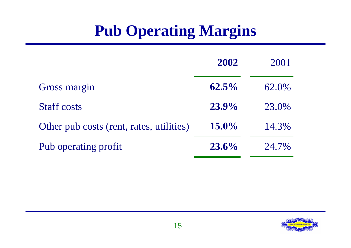## **Pub Operating Margins**

|                                          | 2002     | 2001  |
|------------------------------------------|----------|-------|
| Gross margin                             | $62.5\%$ | 62.0% |
| <b>Staff costs</b>                       | $23.9\%$ | 23.0% |
| Other pub costs (rent, rates, utilities) | $15.0\%$ | 14.3% |
| Pub operating profit                     | $23.6\%$ | 24.7% |

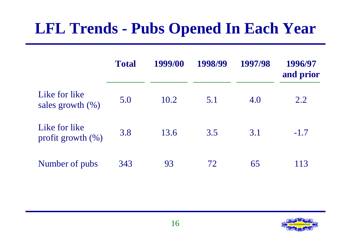## **LFL Trends - Pubs Opened In Each Year**

|                                        | <b>Total</b> | 1999/00 | 1998/99 | 1997/98 | 1996/97<br>and prior |
|----------------------------------------|--------------|---------|---------|---------|----------------------|
| Like for like<br>sales growth $(\% )$  | 5.0          | 10.2    | 5.1     | 4.0     | 2.2                  |
| Like for like<br>profit growth $(\% )$ | 3.8          | 13.6    | 3.5     | 3.1     | $-1.7$               |
| Number of pubs                         | 343          | 93      | 72      | 65      | 113                  |

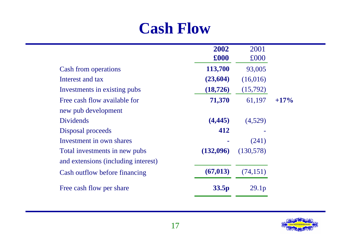### **Cash Flow**

|                                     | 2002<br>£000      | 2001<br>£000      |         |
|-------------------------------------|-------------------|-------------------|---------|
| <b>Cash from operations</b>         | 113,700           | 93,005            |         |
| Interest and tax                    | (23,604)          | (16,016)          |         |
| Investments in existing pubs        | (18, 726)         | (15,792)          |         |
| Free cash flow available for        | 71,370            | 61,197            | $+17\%$ |
| new pub development                 |                   |                   |         |
| <b>Dividends</b>                    | (4, 445)          | (4,529)           |         |
| Disposal proceeds                   | 412               |                   |         |
| Investment in own shares            |                   | (241)             |         |
| Total investments in new pubs       | (132,096)         | (130,578)         |         |
| and extensions (including interest) |                   |                   |         |
| Cash outflow before financing       | (67, 013)         | (74, 151)         |         |
| Free cash flow per share            | 33.5 <sub>p</sub> | 29.1 <sub>p</sub> |         |
|                                     |                   |                   |         |

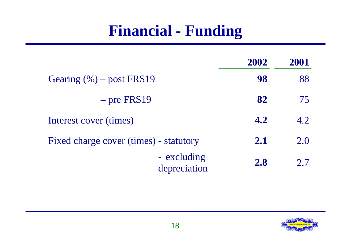## **Financial - Funding**

|                                        | 2002       | 2001 |
|----------------------------------------|------------|------|
| Gearing $(\% )$ – post FRS19           | 98         | 88   |
| $-$ pre FRS19                          | 82         | 75   |
| Interest cover (times)                 | 4.2        | 4.2  |
| Fixed charge cover (times) - statutory | 2.1        | 2.0  |
| - excluding<br>depreciation            | <b>2.8</b> | 2.7  |

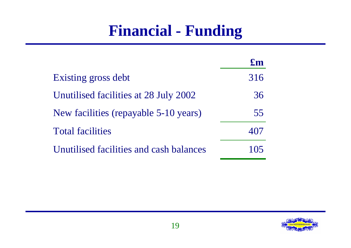## **Financial - Funding**

|                                         | $\mathbf{f}_{\mathbf{m}}$ |
|-----------------------------------------|---------------------------|
| Existing gross debt                     | 316                       |
| Unutilised facilities at 28 July 2002   | 36                        |
| New facilities (repayable 5-10 years)   | 55                        |
| <b>Total facilities</b>                 |                           |
| Unutilised facilities and cash balances | 1()                       |

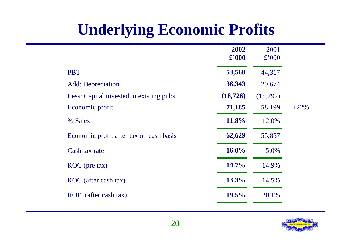## **Underlying Economic Profits**

|                                         | 2002<br>$\pounds$ '000 | 2001<br>£'000 |        |
|-----------------------------------------|------------------------|---------------|--------|
| <b>PBT</b>                              | 53,568                 | 44,317        |        |
| <b>Add:</b> Depreciation                | 36,343                 | 29,674        |        |
| Less: Capital invested in existing pubs | (18, 726)              | (15,792)      |        |
| Economic profit                         | 71,185                 | 58,199        | $+22%$ |
| % Sales                                 | 11.8%                  | 12.0%         |        |
| Economic profit after tax on cash basis | 62,629                 | 55,857        |        |
| Cash tax rate                           | $16.0\%$               | 5.0%          |        |
| ROC (pre tax)                           | 14.7%                  | 14.9%         |        |
| ROC (after cash tax)                    | 13.3%                  | 14.5%         |        |
| ROE (after cash tax)                    | 19.5%                  | 20.1%         |        |
|                                         |                        |               |        |

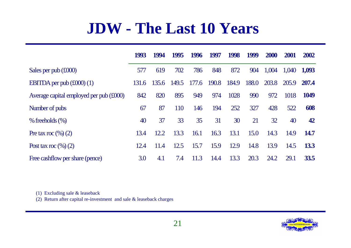## **JDW - The Last 10 Years**

|                                         | 1993  | 1994  | 1995  | 1996  | 1997  | 1998  | 1999  | <b>2000</b> | 2001  | 2002        |
|-----------------------------------------|-------|-------|-------|-------|-------|-------|-------|-------------|-------|-------------|
| Sales per pub $(\text{\pounds}000)$     | 577   | 619   | 702   | 786   | 848   | 872   | 904   | 1,004       | 1,040 | 1,093       |
| EBITDA per pub $(\text{\pounds}000)(1)$ | 131.6 | 135.6 | 149.5 | 177.6 | 190.8 | 184.9 | 188.0 | 203.8       | 205.9 | 207.4       |
| Average capital employed per pub (£000) | 842   | 820   | 895   | 949   | 974   | 1028  | 990   | 972         | 1018  | 1049        |
| Number of pubs                          | 67    | 87    | 110   | 146   | 194   | 252   | 327   | 428         | 522   | 608         |
| $%$ freeholds $(\%)$                    | 40    | 37    | 33    | 35    | 31    | 30    | 21    | 32          | 40    | 42          |
| Pre tax roc $(\%)(2)$                   | 13.4  | 12.2  | 13.3  | 16.1  | 16.3  | 13.1  | 15.0  | 14.3        | 14.9  | <b>14.7</b> |
| Post tax roc $(\%)(2)$                  | 12.4  | 11.4  | 12.5  | 15.7  | 15.9  | 12.9  | 14.8  | 13.9        | 14.5  | <b>13.3</b> |
| Free cashflow per share (pence)         | 3.0   | 4.1   | 7.4   | 11.3  | 14.4  | 13.3  | 20.3  | 24.2        | 29.1  | <b>33.5</b> |

(1) Excluding sale & leaseback

(2) Return after capital re-investment and sale & leaseback charges

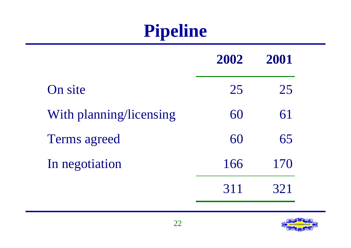# **Pipeline**

|                         | 2002 | 2001 |
|-------------------------|------|------|
| On site                 | 25   | 25   |
| With planning/licensing | 60   | 61   |
| <b>Terms agreed</b>     | 60   | 65   |
| In negotiation          | 166  | 170  |
|                         | 311  |      |

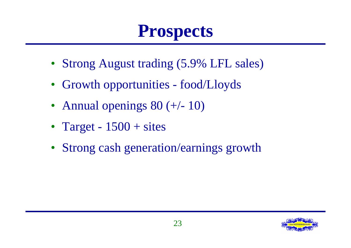# **Prospects**

- Strong August trading (5.9% LFL sales)
- Growth opportunities food/Lloyds
- Annual openings  $80 (+/- 10)$
- Target  $1500 +$  sites
- Strong cash generation/earnings growth

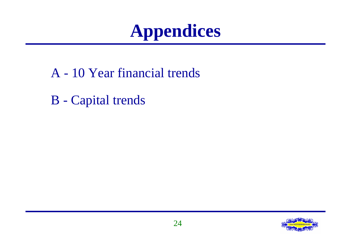# **Appendices**

- A 10 Year financial trends
- B Capital trends

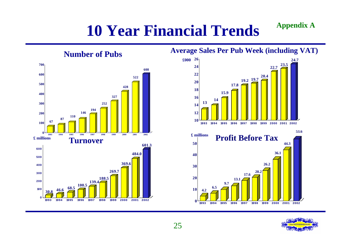## **10 Year Financial Trends Appendix A**



### **Average Sales Per Pub Week (including VAT)**